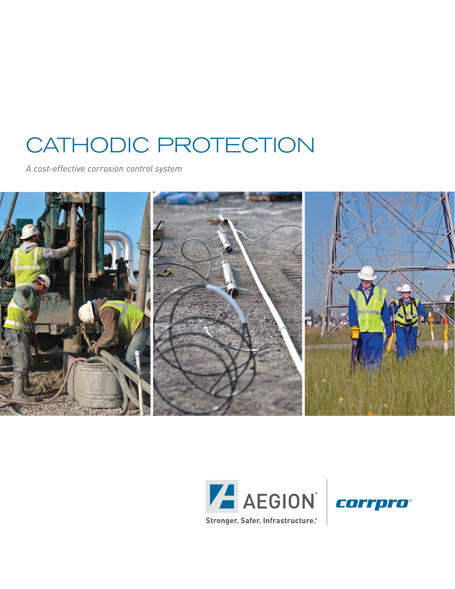# CATHODIC PROTECTION

*A cost-effective corrosion control system*